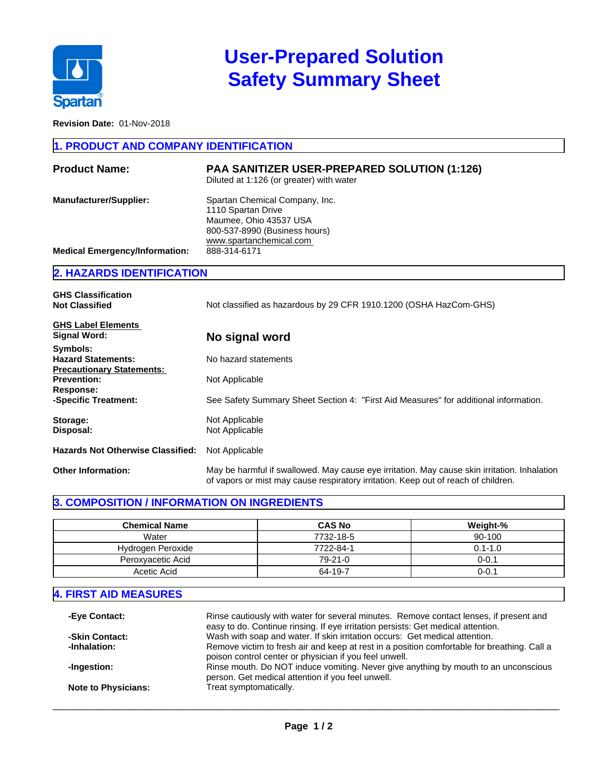

# **User-Prepared Solution Safety Summary Sheet**

**Revision Date:** 01-Nov-2018

#### **1. PRODUCT AND COMPANY IDENTIFICATION**

| <b>Product Name:</b>                  | <b>PAA SANITIZER USER-PREPARED SOLUTION (1:126)</b><br>Diluted at 1:126 (or greater) with water                                            |
|---------------------------------------|--------------------------------------------------------------------------------------------------------------------------------------------|
| <b>Manufacturer/Supplier:</b>         | Spartan Chemical Company, Inc.<br>1110 Spartan Drive<br>Maumee, Ohio 43537 USA<br>800-537-8990 (Business hours)<br>www.spartanchemical.com |
| <b>Medical Emergency/Information:</b> | 888-314-6171                                                                                                                               |

## **2. HAZARDS IDENTIFICATION**

| <b>GHS Classification</b><br><b>Not Classified</b>                        | Not classified as hazardous by 29 CFR 1910.1200 (OSHA HazCom-GHS)                                                                                                                  |  |  |  |
|---------------------------------------------------------------------------|------------------------------------------------------------------------------------------------------------------------------------------------------------------------------------|--|--|--|
| <b>GHS Label Elements</b><br>Signal Word:                                 | No signal word                                                                                                                                                                     |  |  |  |
| Symbols:<br><b>Hazard Statements:</b><br><b>Precautionary Statements:</b> | No hazard statements                                                                                                                                                               |  |  |  |
| <b>Prevention:</b><br>Response:                                           | Not Applicable                                                                                                                                                                     |  |  |  |
| -Specific Treatment:                                                      | See Safety Summary Sheet Section 4: "First Aid Measures" for additional information.                                                                                               |  |  |  |
| Storage:<br>Disposal:                                                     | Not Applicable<br>Not Applicable                                                                                                                                                   |  |  |  |
| <b>Hazards Not Otherwise Classified:</b>                                  | Not Applicable                                                                                                                                                                     |  |  |  |
| <b>Other Information:</b>                                                 | May be harmful if swallowed. May cause eye irritation. May cause skin irritation. Inhalation<br>of vapors or mist may cause respiratory irritation. Keep out of reach of children. |  |  |  |

#### **3. COMPOSITION / INFORMATION ON INGREDIENTS**

| <b>Chemical Name</b> | <b>CAS No</b> | Weight-%    |
|----------------------|---------------|-------------|
| Water                | 7732-18-5     | 90-100      |
| Hydrogen Peroxide    | 7722-84-1     | $0.1 - 1.0$ |
| Peroxyacetic Acid    | $79-21-0$     | $0 - 0.1$   |
| Acetic Acid          | 64-19-7       | 0-0.1       |

#### **4. FIRST AID MEASURES**

| -Eye Contact:              | Rinse cautiously with water for several minutes. Remove contact lenses, if present and<br>easy to do. Continue rinsing. If eye irritation persists: Get medical attention. |
|----------------------------|----------------------------------------------------------------------------------------------------------------------------------------------------------------------------|
| -Skin Contact:             | Wash with soap and water. If skin irritation occurs: Get medical attention.                                                                                                |
| -Inhalation:               | Remove victim to fresh air and keep at rest in a position comfortable for breathing. Call a                                                                                |
|                            | poison control center or physician if you feel unwell.                                                                                                                     |
| -Ingestion:                | Rinse mouth. Do NOT induce vomiting. Never give anything by mouth to an unconscious                                                                                        |
|                            | person. Get medical attention if you feel unwell.                                                                                                                          |
| <b>Note to Physicians:</b> | Treat symptomatically.                                                                                                                                                     |

 $\_$  ,  $\_$  ,  $\_$  ,  $\_$  ,  $\_$  ,  $\_$  ,  $\_$  ,  $\_$  ,  $\_$  ,  $\_$  ,  $\_$  ,  $\_$  ,  $\_$  ,  $\_$  ,  $\_$  ,  $\_$  ,  $\_$  ,  $\_$  ,  $\_$  ,  $\_$  ,  $\_$  ,  $\_$  ,  $\_$  ,  $\_$  ,  $\_$  ,  $\_$  ,  $\_$  ,  $\_$  ,  $\_$  ,  $\_$  ,  $\_$  ,  $\_$  ,  $\_$  ,  $\_$  ,  $\_$  ,  $\_$  ,  $\_$  ,